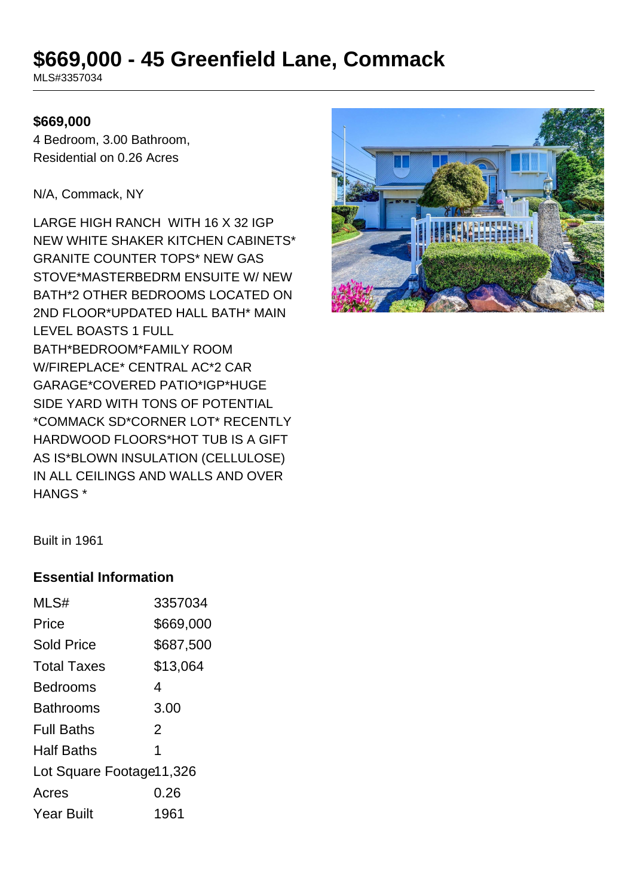# **\$669,000 - 45 Greenfield Lane, Commack**

MLS#3357034

#### **\$669,000**

4 Bedroom, 3.00 Bathroom, Residential on 0.26 Acres

N/A, Commack, NY

LARGE HIGH RANCH WITH 16 X 32 IGP NEW WHITE SHAKER KITCHEN CABINETS\* GRANITE COUNTER TOPS\* NEW GAS STOVE\*MASTERBEDRM ENSUITE W/ NEW BATH\*2 OTHER BEDROOMS LOCATED ON 2ND FLOOR\*UPDATED HALL BATH\* MAIN LEVEL BOASTS 1 FULL BATH\*BEDROOM\*FAMILY ROOM W/FIREPLACE\* CENTRAL AC\*2 CAR GARAGE\*COVERED PATIO\*IGP\*HUGE SIDE YARD WITH TONS OF POTENTIAL \*COMMACK SD\*CORNER LOT\* RECENTLY HARDWOOD FLOORS\*HOT TUB IS A GIFT AS IS\*BLOWN INSULATION (CELLULOSE) IN ALL CEILINGS AND WALLS AND OVER HANGS \*



Built in 1961

#### **Essential Information**

| MLS#                     | 3357034   |
|--------------------------|-----------|
| Price                    | \$669,000 |
| <b>Sold Price</b>        | \$687,500 |
| <b>Total Taxes</b>       | \$13,064  |
| Bedrooms                 | 4         |
| Bathrooms                | 3.00      |
| <b>Full Baths</b>        | 2         |
| <b>Half Baths</b>        | 1         |
| Lot Square Footage11,326 |           |
| Acres                    | 0.26      |
| <b>Year Built</b>        | 1961      |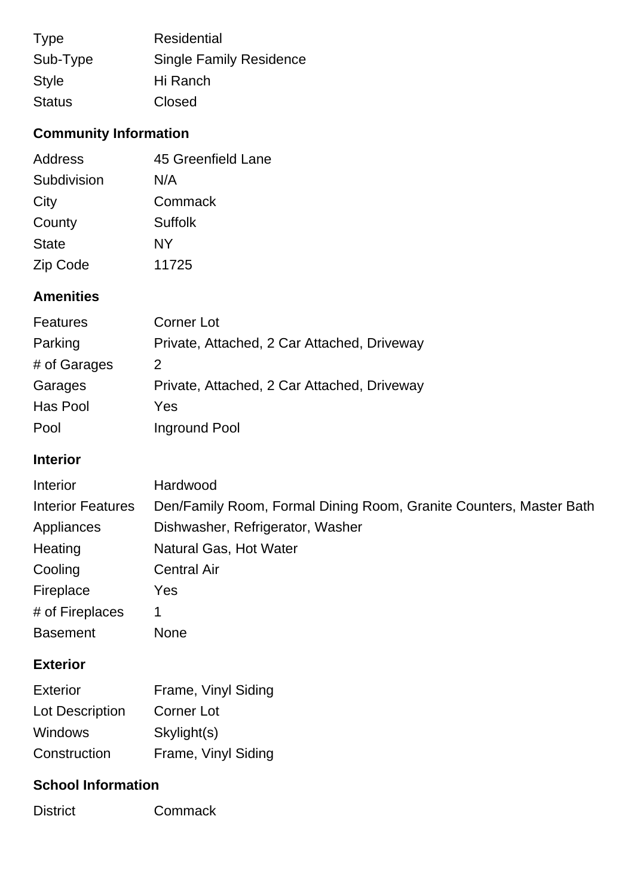| <b>Type</b>   | <b>Residential</b>             |
|---------------|--------------------------------|
| Sub-Type      | <b>Single Family Residence</b> |
| <b>Style</b>  | Hi Ranch                       |
| <b>Status</b> | Closed                         |

# **Community Information**

| Address      | 45 Greenfield Lane |
|--------------|--------------------|
| Subdivision  | N/A                |
| City         | Commack            |
| County       | Suffolk            |
| <b>State</b> | NY                 |
| Zip Code     | 11725              |

## **Amenities**

| Features     | Corner Lot                                  |
|--------------|---------------------------------------------|
| Parking      | Private, Attached, 2 Car Attached, Driveway |
| # of Garages | 2                                           |
| Garages      | Private, Attached, 2 Car Attached, Driveway |
| Has Pool     | Yes                                         |
| Pool         | Inground Pool                               |

### **Interior**

| Interior                 | Hardwood                                                           |
|--------------------------|--------------------------------------------------------------------|
| <b>Interior Features</b> | Den/Family Room, Formal Dining Room, Granite Counters, Master Bath |
| Appliances               | Dishwasher, Refrigerator, Washer                                   |
| Heating                  | Natural Gas, Hot Water                                             |
| Cooling                  | <b>Central Air</b>                                                 |
| Fireplace                | Yes                                                                |
| # of Fireplaces          | 1                                                                  |
| <b>Basement</b>          | <b>None</b>                                                        |
|                          |                                                                    |

## **Exterior**

| <b>Exterior</b>        | Frame, Vinyl Siding |
|------------------------|---------------------|
| <b>Lot Description</b> | Corner Lot          |
| <b>Windows</b>         | Skylight(s)         |
| Construction           | Frame, Vinyl Siding |

#### **School Information**

District Commack